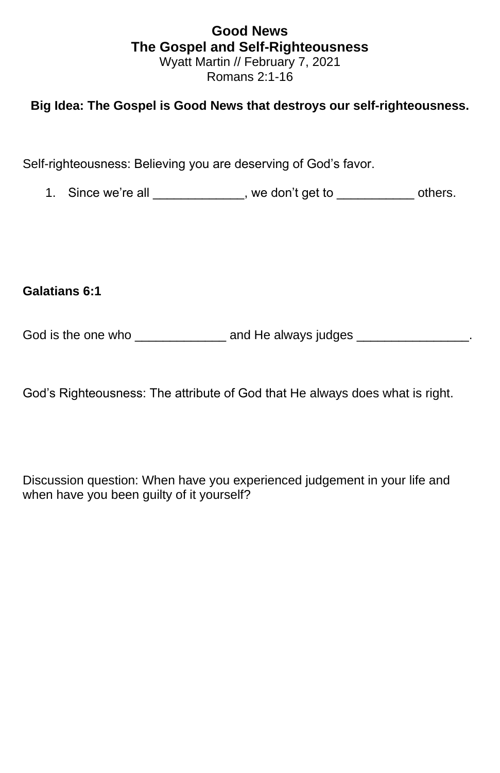## **Good News The Gospel and Self-Righteousness** Wyatt Martin // February 7, 2021 Romans 2:1-16

## **Big Idea: The Gospel is Good News that destroys our self-righteousness.**

Self-righteousness: Believing you are deserving of God's favor.

1. Since we're all \_\_\_\_\_\_\_\_\_\_\_\_\_, we don't get to \_\_\_\_\_\_\_\_\_\_\_\_\_ others.

**Galatians 6:1**

God is the one who \_\_\_\_\_\_\_\_\_\_\_\_\_\_\_ and He always judges \_\_\_\_\_\_\_\_\_\_\_\_\_\_\_\_\_\_.

God's Righteousness: The attribute of God that He always does what is right.

Discussion question: When have you experienced judgement in your life and when have you been guilty of it yourself?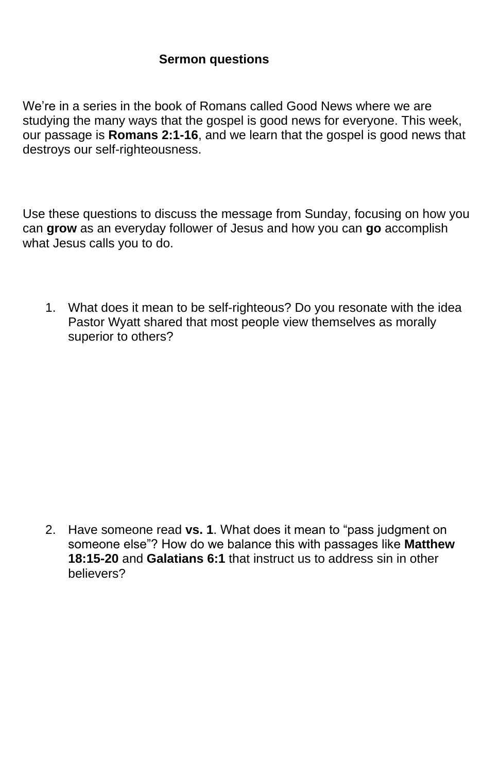## **Sermon questions**

We're in a series in the book of Romans called Good News where we are studying the many ways that the gospel is good news for everyone. This week, our passage is **Romans 2:1-16**, and we learn that the gospel is good news that destroys our self-righteousness.

Use these questions to discuss the message from Sunday, focusing on how you can **grow** as an everyday follower of Jesus and how you can **go** accomplish what Jesus calls you to do.

1. What does it mean to be self-righteous? Do you resonate with the idea Pastor Wyatt shared that most people view themselves as morally superior to others?

2. Have someone read **vs. 1**. What does it mean to "pass judgment on someone else"? How do we balance this with passages like **Matthew 18:15-20** and **Galatians 6:1** that instruct us to address sin in other believers?